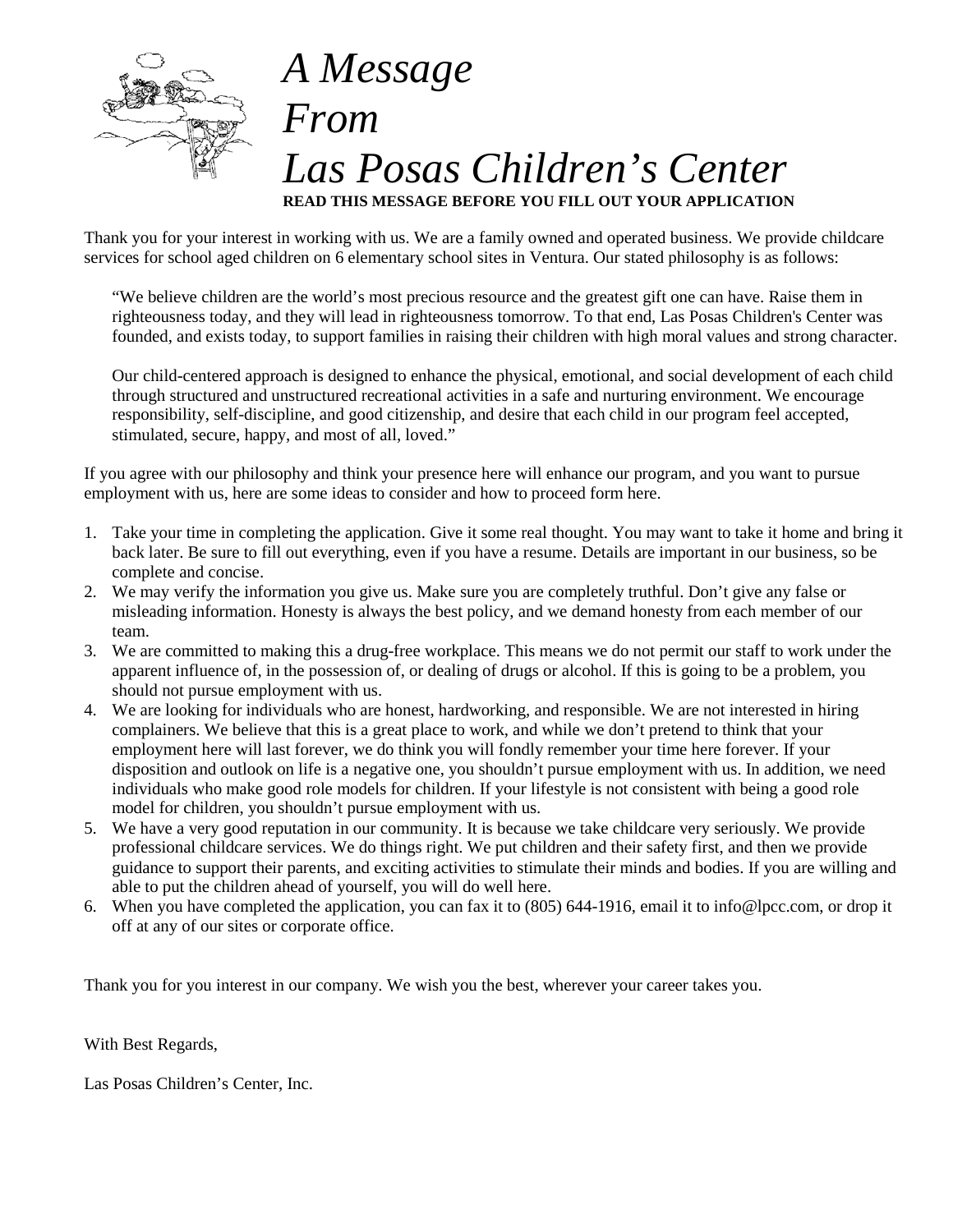

# *A Message From Las Posas Children's Center* **READ THIS MESSAGE BEFORE YOU FILL OUT YOUR APPLICATION**

Thank you for your interest in working with us. We are a family owned and operated business. We provide childcare services for school aged children on 6 elementary school sites in Ventura. Our stated philosophy is as follows:

"We believe children are the world's most precious resource and the greatest gift one can have. Raise them in righteousness today, and they will lead in righteousness tomorrow. To that end, Las Posas Children's Center was founded, and exists today, to support families in raising their children with high moral values and strong character.

Our child-centered approach is designed to enhance the physical, emotional, and social development of each child through structured and unstructured recreational activities in a safe and nurturing environment. We encourage responsibility, self-discipline, and good citizenship, and desire that each child in our program feel accepted, stimulated, secure, happy, and most of all, loved."

If you agree with our philosophy and think your presence here will enhance our program, and you want to pursue employment with us, here are some ideas to consider and how to proceed form here.

- 1. Take your time in completing the application. Give it some real thought. You may want to take it home and bring it back later. Be sure to fill out everything, even if you have a resume. Details are important in our business, so be complete and concise.
- 2. We may verify the information you give us. Make sure you are completely truthful. Don't give any false or misleading information. Honesty is always the best policy, and we demand honesty from each member of our team.
- 3. We are committed to making this a drug-free workplace. This means we do not permit our staff to work under the apparent influence of, in the possession of, or dealing of drugs or alcohol. If this is going to be a problem, you should not pursue employment with us.
- 4. We are looking for individuals who are honest, hardworking, and responsible. We are not interested in hiring complainers. We believe that this is a great place to work, and while we don't pretend to think that your employment here will last forever, we do think you will fondly remember your time here forever. If your disposition and outlook on life is a negative one, you shouldn't pursue employment with us. In addition, we need individuals who make good role models for children. If your lifestyle is not consistent with being a good role model for children, you shouldn't pursue employment with us.
- 5. We have a very good reputation in our community. It is because we take childcare very seriously. We provide professional childcare services. We do things right. We put children and their safety first, and then we provide guidance to support their parents, and exciting activities to stimulate their minds and bodies. If you are willing and able to put the children ahead of yourself, you will do well here.
- 6. When you have completed the application, you can fax it to (805) 644-1916, email it to info@lpcc.com, or drop it off at any of our sites or corporate office.

Thank you for you interest in our company. We wish you the best, wherever your career takes you.

With Best Regards,

Las Posas Children's Center, Inc.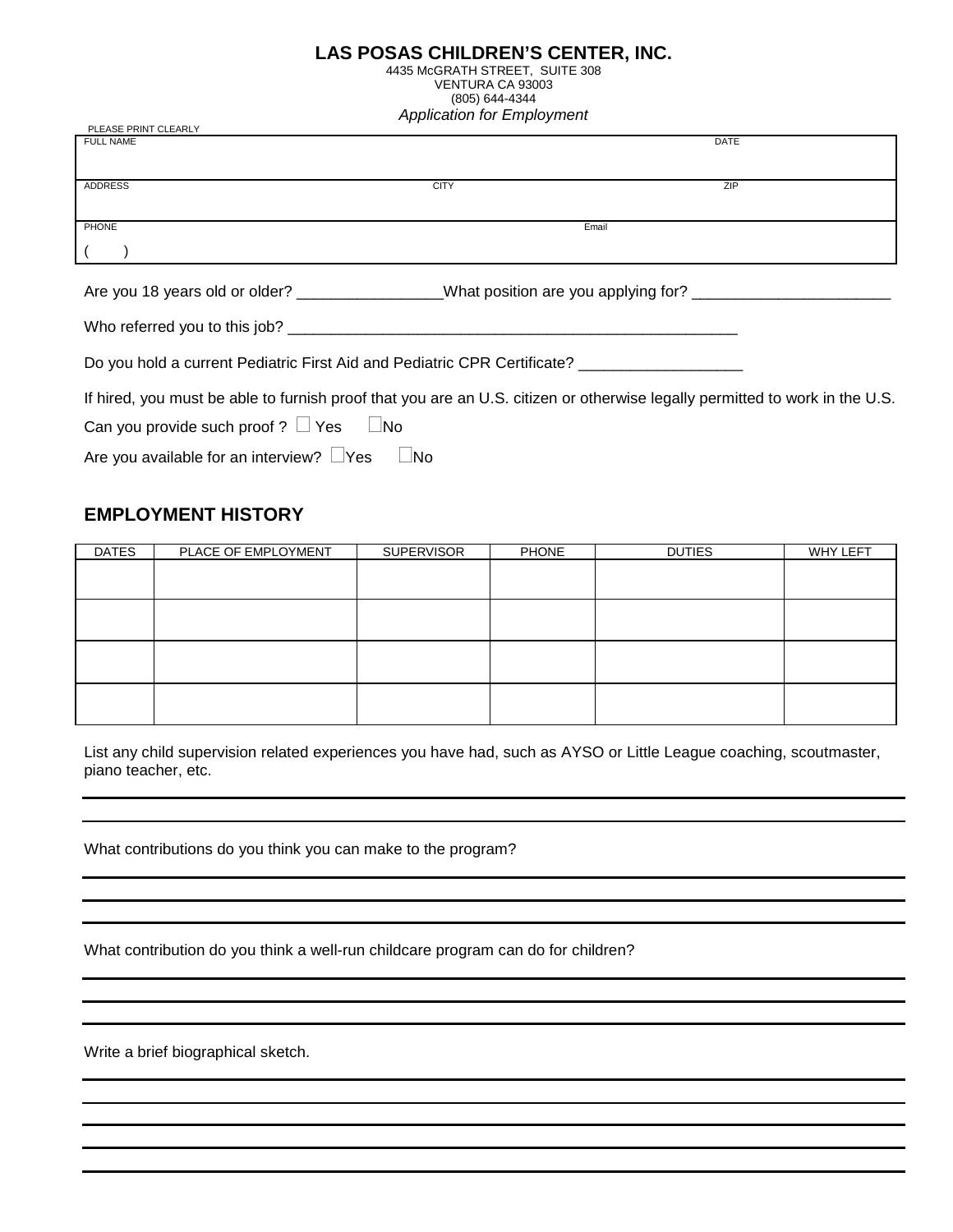### **LAS POSAS CHILDREN'S CENTER, INC.**

4435 McGRATH STREET, SUITE 308 VENTURA CA 93003 (805) 644-4344 *Application for Employment*

| PLEASE PRINT CLEARLY           | . .<br>.                            |             |
|--------------------------------|-------------------------------------|-------------|
| <b>FULL NAME</b>               |                                     | <b>DATE</b> |
|                                |                                     |             |
|                                |                                     |             |
| ADDRESS                        | <b>CITY</b>                         | ZIP         |
|                                |                                     |             |
|                                |                                     |             |
|                                |                                     |             |
| <b>PHONE</b>                   | Email                               |             |
|                                |                                     |             |
|                                |                                     |             |
|                                |                                     |             |
| Are you 18 years old or older? | What position are you applying for? |             |
|                                |                                     |             |

Who referred you to this job?

Do you hold a current Pediatric First Aid and Pediatric CPR Certificate? \_\_\_\_\_\_\_\_\_\_\_\_\_\_\_\_\_\_\_\_\_\_\_\_\_\_

If hired, you must be able to furnish proof that you are an U.S. citizen or otherwise legally permitted to work in the U.S.

Can you provide such proof ?  $\Box$  Yes  $\Box$  No

Are you available for an interview?  $\Box$  Yes  $\Box$  No

## **EMPLOYMENT HISTORY**

| <b>DATES</b> | PLACE OF EMPLOYMENT | <b>SUPERVISOR</b> | <b>PHONE</b> | <b>DUTIES</b> | <b>WHY LEFT</b> |
|--------------|---------------------|-------------------|--------------|---------------|-----------------|
|              |                     |                   |              |               |                 |
|              |                     |                   |              |               |                 |
|              |                     |                   |              |               |                 |
|              |                     |                   |              |               |                 |
|              |                     |                   |              |               |                 |
|              |                     |                   |              |               |                 |
|              |                     |                   |              |               |                 |
|              |                     |                   |              |               |                 |

List any child supervision related experiences you have had, such as AYSO or Little League coaching, scoutmaster, piano teacher, etc.

What contributions do you think you can make to the program?

What contribution do you think a well-run childcare program can do for children?

Write a brief biographical sketch.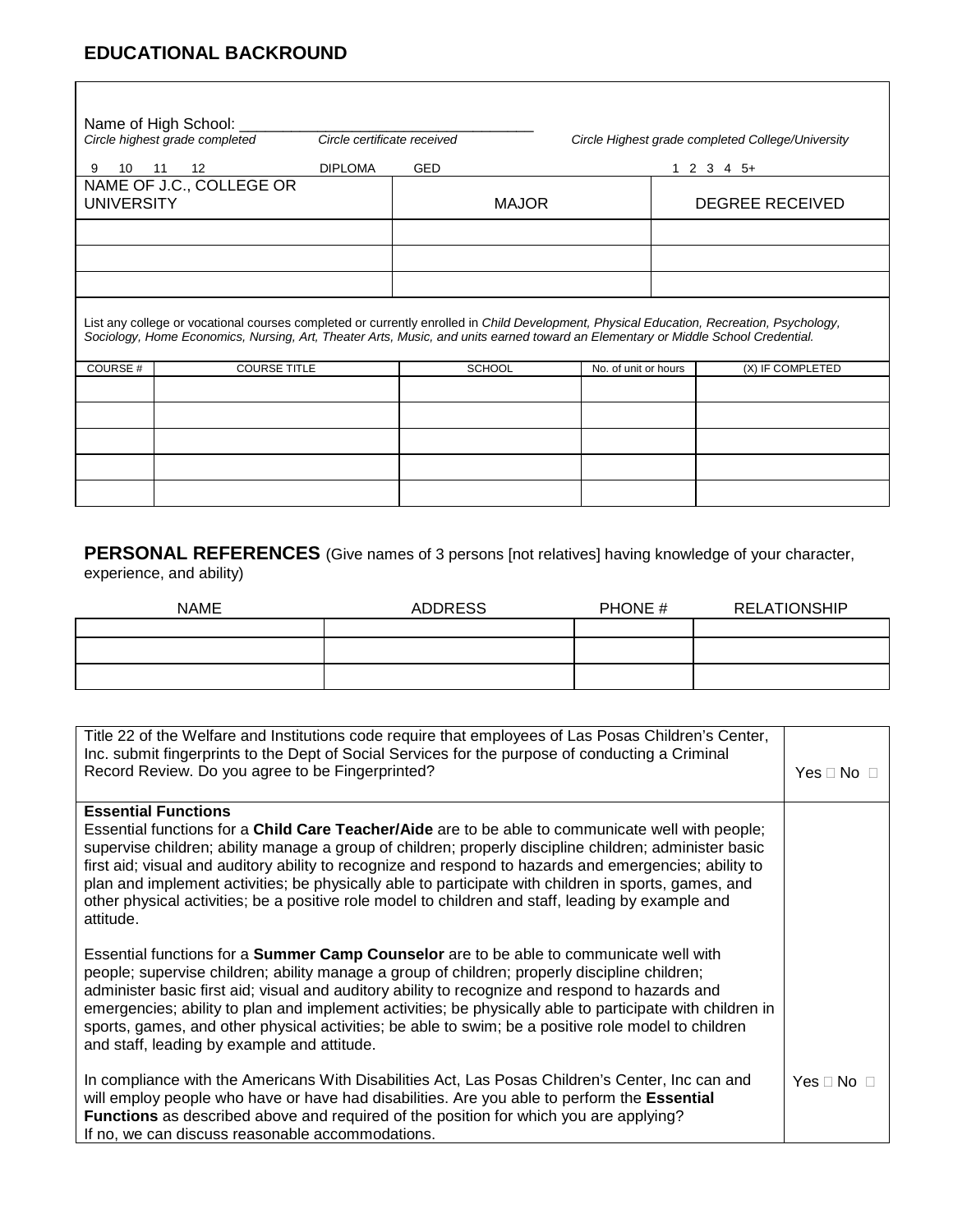## **EDUCATIONAL BACKROUND**

| Name of High School:<br>Circle highest grade completed                                                                                                                                                                                                                       | Circle certificate received |                      | Circle Highest grade completed College/University |
|------------------------------------------------------------------------------------------------------------------------------------------------------------------------------------------------------------------------------------------------------------------------------|-----------------------------|----------------------|---------------------------------------------------|
| <b>DIPLOMA</b><br>9<br>12<br>10<br>11                                                                                                                                                                                                                                        | <b>GED</b>                  |                      | $1\ 2\ 3\ 4\ 5+$                                  |
| NAME OF J.C., COLLEGE OR<br><b>UNIVERSITY</b>                                                                                                                                                                                                                                |                             | <b>MAJOR</b>         | <b>DEGREE RECEIVED</b>                            |
|                                                                                                                                                                                                                                                                              |                             |                      |                                                   |
|                                                                                                                                                                                                                                                                              |                             |                      |                                                   |
|                                                                                                                                                                                                                                                                              |                             |                      |                                                   |
| List any college or vocational courses completed or currently enrolled in Child Development, Physical Education, Recreation, Psychology,<br>Sociology, Home Economics, Nursing, Art, Theater Arts, Music, and units earned toward an Elementary or Middle School Credential. |                             |                      |                                                   |
| COURSE#<br><b>COURSE TITLE</b>                                                                                                                                                                                                                                               | <b>SCHOOL</b>               | No. of unit or hours | (X) IF COMPLETED                                  |
|                                                                                                                                                                                                                                                                              |                             |                      |                                                   |
|                                                                                                                                                                                                                                                                              |                             |                      |                                                   |
|                                                                                                                                                                                                                                                                              |                             |                      |                                                   |
|                                                                                                                                                                                                                                                                              |                             |                      |                                                   |
|                                                                                                                                                                                                                                                                              |                             |                      |                                                   |

**PERSONAL REFERENCES** (Give names of 3 persons [not relatives] having knowledge of your character, experience, and ability)

| <b>NAME</b> | <b>ADDRESS</b> | PHONE # | <b>RELATIONSHIP</b> |
|-------------|----------------|---------|---------------------|
|             |                |         |                     |
|             |                |         |                     |
|             |                |         |                     |
|             |                |         |                     |

| Title 22 of the Welfare and Institutions code require that employees of Las Posas Children's Center,<br>Inc. submit fingerprints to the Dept of Social Services for the purpose of conducting a Criminal<br>Record Review. Do you agree to be Fingerprinted?                                                                                                                                                                                                                                                                                                                       | Yes $\Box$ No $\Box$ |
|------------------------------------------------------------------------------------------------------------------------------------------------------------------------------------------------------------------------------------------------------------------------------------------------------------------------------------------------------------------------------------------------------------------------------------------------------------------------------------------------------------------------------------------------------------------------------------|----------------------|
| <b>Essential Functions</b><br>Essential functions for a Child Care Teacher/Aide are to be able to communicate well with people;<br>supervise children; ability manage a group of children; properly discipline children; administer basic<br>first aid; visual and auditory ability to recognize and respond to hazards and emergencies; ability to<br>plan and implement activities; be physically able to participate with children in sports, games, and<br>other physical activities; be a positive role model to children and staff, leading by example and                   |                      |
| attitude.<br>Essential functions for a <b>Summer Camp Counselor</b> are to be able to communicate well with<br>people; supervise children; ability manage a group of children; properly discipline children;<br>administer basic first aid; visual and auditory ability to recognize and respond to hazards and<br>emergencies; ability to plan and implement activities; be physically able to participate with children in<br>sports, games, and other physical activities; be able to swim; be a positive role model to children<br>and staff, leading by example and attitude. |                      |
| In compliance with the Americans With Disabilities Act, Las Posas Children's Center, Inc can and<br>will employ people who have or have had disabilities. Are you able to perform the <b>Essential</b><br>Functions as described above and required of the position for which you are applying?<br>If no, we can discuss reasonable accommodations.                                                                                                                                                                                                                                | Yes $\Box$ No $\Box$ |